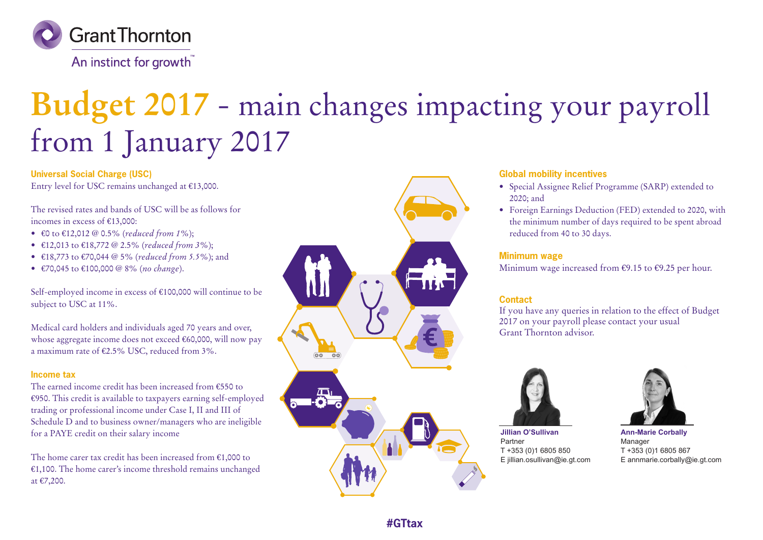

An instinct for growth

# **Budget 2017** - main changes impacting your payroll from 1 January 2017

**Universal Social Charge (USC)** Entry level for USC remains unchanged at €13,000.

The revised rates and bands of USC will be as follows for incomes in excess of €13,000:

- €0 to €12,012 @ 0.5% (*reduced from 1%*);
- €12,013 to €18,772 @ 2.5% (*reduced from 3%*);
- €18,773 to €70,044 @ 5% (*reduced from 5.5%*); and
- €70,045 to €100,000 @ 8% (*no change*).

Self-employed income in excess of €100,000 will continue to be subject to USC at 11%.

Medical card holders and individuals aged 70 years and over, whose aggregate income does not exceed €60,000, will now pay a maximum rate of €2.5% USC, reduced from 3%.

#### **Income tax**

The earned income credit has been increased from €550 to €950. This credit is available to taxpayers earning self-employed trading or professional income under Case I, II and III of Schedule D and to business owner/managers who are ineligible for a PAYE credit on their salary income

The home carer tax credit has been increased from €1,000 to €1,100. The home carer's income threshold remains unchanged at €7,200.



#### **Global mobility incentives**

- Special Assignee Relief Programme (SARP) extended to 2020; and
- Foreign Earnings Deduction (FED) extended to 2020, with the minimum number of days required to be spent abroad reduced from 40 to 30 days.

#### **Minimum wage**

Minimum wage increased from  $\epsilon$ 9.15 to  $\epsilon$ 9.25 per hour.

#### **Contact**

If you have any queries in relation to the effect of Budget 2017 on your payroll please contact your usual Grant Thornton advisor.



**Jillian O'Sullivan** Partner T +353 (0)1 6805 850 E jillian.osullivan@ie.gt.com



**Ann-Marie Corbally** Manager T +353 (0)1 6805 867 E annmarie.corbally@ie.gt.com